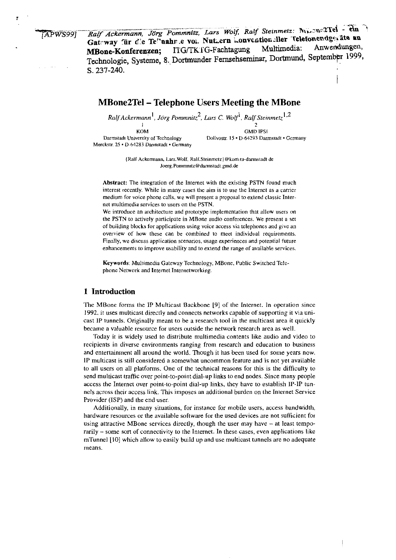**TAPWS991** 

Ralf Ackermann, Jörg Pommnitz, Lars Wolf, Ralf Steinmetz: Misene2Tel - eln Gateway für die Teilnahre vor Nutzern konventioneller Telefonendgeräte an Anwendungen, Multimedia: ITG/TKTG-Fachtagung **MBone-Konferenzen;** Technologie, Systeme, 8. Dortmunder Fernsehseminar, Dortmund, September 1999, S. 237-240.

# **MBone2Tel – Telephone Users Meeting the MBone**

Ralf Ackermann<sup>1</sup>, Jörg Pommnitz<sup>2</sup>, Lars C. Wolf<sup>1</sup>, Ralf Steinmetz<sup>1,2</sup> **KOM GMD IPSI** Darmstadt University of Technology Dolivostr. 15 · D-64293 Darmstadt · Germany Merckstr. 25 · D-64283 Darmstadt · Germany

> {Ralf Ackermann, Lars. Wolf, Ralf.Steinmetz}@kom.tu-darmstadt de Joerg.Pommnitz@darmstadt.gmd.de

Abstract: The integration of the Internet with the existing PSTN found much interest recently. While in many cases the aim is to use the Internet as a carrier medium for voice phone calls, we will present a proposal to extend classic Inter-

net multimedia services to users on the PSTN.

We introduce an architecture and prototype implementation that allow users on the PSTN to actively participate in MBone audio conferences. We present a set of building blocks for applications using voice access via telephones and give an overview of how these can be combined to meet individual requirements. Finally, we discuss application scenarios, usage experiences and potential future enhancements to improve usability and to extend the range of available services.

Keywords: Multimedia Gateway Technology, MBone, Public Switched Telephone Network and Internet Internetworking.

### 1 Introduction

The MBone forms the IP Multicast Backbone [9] of the Internet. In operation since 1992, it uses multicast directly and connects networks capable of supporting it via unicast IP tunnels. Originally meant to be a research tool in the multicast area it quickly became a valuable resource for users outside the network research area as well.

Today it is widely used to distribute multimedia contents like audio and video to recipients in diverse environments ranging from research and education to business and entertainment all around the world. Though it has been used for some years now, IP multicast is still considered a somewhat uncommon feature and is not yet available to all users on all platforms. One of the technical reasons for this is the difficulty to send multicast traffic over point-to-point dial-up links to end nodes. Since many people access the Internet over point-to-point dial-up links, they have to establish IP-IP tunnels across their access link. This imposes an additional burden on the Internet Service Provider (ISP) and the end user.

Additionally, in many situations, for instance for mobile users, access bandwidth, hardware resources or the available software for the used devices are not sufficient for using attractive MBone services directly, though the user may have  $-$  at least temporarily – some sort of connectivity to the Internet. In these cases, even applications like mTunnel [10] which allow to easily build up and use multicast tunnels are no adequate means.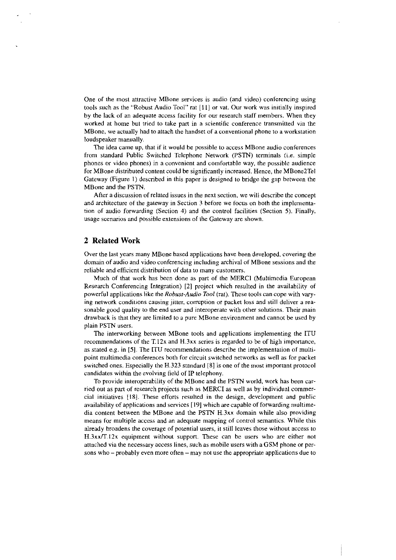One of the rnost attractive MBone services is audio (and video) conferencing using tools such as the "Robust Audio Tool" rat [I I] or vat. Our work was initially inspired by the lack of an adequate access facility for our research staff members. When they worked at home but tried to take part in a scientific conference transmitted via the MBone, we actually had to attach the handset of a conventional phone to a workstation loudspeaker manually.

The idea came up, that if it would be possible to access MBone audio conferences from standard Public Switched Telephone Network (PSTN) terminals (i.e. simple phones or video phones) in a convenient and cornfortable way, the possible audience for MBone distributed content could be significantly increased. Hence, the MBoneZTel Gateway (Figure I) described in this paper is designed to bridge the gap between the MBone and the PSTN.

After a discussion of related issues in the next secrion, we will describe the concept and architecture of the gateway in Section **3** before we focus on both the implernentation of audio forwarding (Section **1)** and the control facilities (Section *5).* Finally, usage scenarios and possible extensions of the Gateway are shown.

### **2 Related Work**

Over the last years many MBone based applications have been developed, covering the domain of audio and video conferencing including archival of MBone sessions and the reliable and efficient distribution of data to many customers.

Much of that work has been done as part of the MERCI (Multimedia European Research Conferencing Integration) [2] project which resulted in the availability of powerful applications like the *Robust-Audio Tool* (rat). These tools can cope with varying network conditions causing jitter, corruption or packet loss 2nd still deliver a reasonable good quality to the end user and interoperate with other solutions. Their main drawback is that they are limited to a pure MBone environrnent and cannot be used by plain PSTN users.

The interworking between MBone tools and applications irnplernenting the ITU recommendations of the  $T.12x$  and  $H.3xx$  series is regarded to be of high importance, as stated e.g. in [5]. The ITIJ recommendations descrihe the implementation of multipoint multimedia conferences hoth for circuit swiiched networks as well as for packet switched ones. Especially the H.323 standard **[8]** is one of the rnost irnporrant protocol candidates within the evolving field of IP telephony.

To provide interoperability of the MBone and the PSTN world. work has been carried out as part of research projects such as MERCI as well as by individual cornrnercial initiatives [18]. These efforts resulted in the design. development and public availability of applications and services [19] which are capable of forwarding multimedia content between the MBone and the PSTN H.3xx dornain while also providing means for multiple access and an adequate mapping of control semantics. While this already broadens the coverage of potential users, it still leaves those without access to  $H.3xx/T.12x$  equipment without support. These can be users who are either not attached via the necessary access lines, such as mobile users wirh a GSM phone or persons who  $-$  probably even more often  $-$  may not use the appropriate applications due to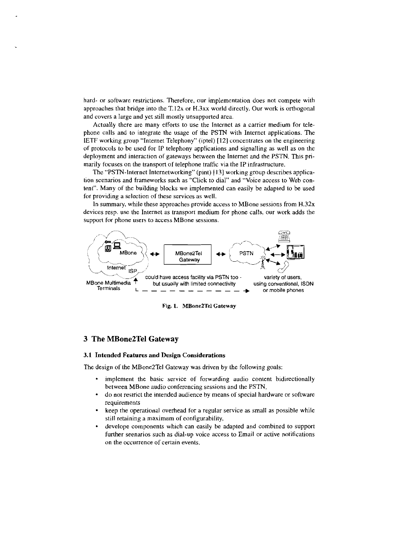hard- or software restrictions. Therefore. our implementation does not compete with approaches that bridge into the  $T<sub>12x</sub>$  or H.3xx world directly. Our work is orthogonal and Covers a large and yet still mostly unsupported area.

Actually there are many efforts to use the Interner as a carrier medium for telephone calls and to integrate the usage of the PSTN with lnternet applications. The IETF working group "Intemet Telephony" (iptel) [12] concentrates on the engineering of protocols to **be** used for IP telephony applications and signalling as well as on the deployment and interaction of gateways between the Internet and the PSTN. This primarily focuses on the transport of telephone traffic via the IP infrastructure.

The "PSTN-lnternet Internetworking" (pint) [13] working group describes application scenarios and frameworks such as "Click to dial" and "Voice access to Web content". Many of the building blocks we implemented can easily be adapted to be used for providing a selection of these services as well.

In summary, while these approaches provide access to MBone sessions from  $H.32x$ devices resp. use the lnternet as transport medium for phone calls, our work adds the support for phone users to access MBone sessions.



Fig. 1. MBone2Tel Gateway

## **3 The MBoneZTel Gateway**

### **3.1 Intended Features and Design Considerations**

The design of the MBone2Tel Gateway was driven by the following goals:

- implement the basic service of forwarding audio content bidirectionally between MBone audio conferencing sessions and the PSTN,
- do not resinct the intended audience by means of special hardware or software requirements
- keep the operational overhead for a regular service as small as possible while still retaining a maximum of eonfigurability.
- develope components which can easily be adapted and combined to support further seenarios such as dial-up voice access to Email or active notifications on the occurrence of certain events.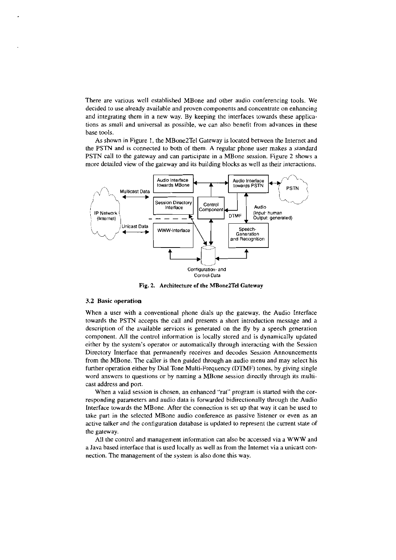There are various well established MBone and other audio conferencing tools. We decided to use already available and proven components and concentrate on enhancing and integrating them in a new way. By keeping the interfaces towards these applications as small and universal as possible, we can also benefit from advances in these base tools.

As shown in Figure 1, the MBoneZTel Gateway is located between the Internet and the PSTN and is connected to both of them. A regular phone User makes a siandard PSTN call to the gateway and can panicipate in a MBone session. Figure *2* shows a more detailed view of the gateway and its building blocks as well as their interactions.



**Fig. 2.** Architecture **oi** the MBoneZTel Gateway

#### 3.2 Basic **operation**

When a user with a conventional phone dials up the gateway, the Audio Interface towards the PSTN accepts the call and presents a short introduction message and a description of the available services is generated on the fly by a speech generation component. All the control information is locally stored and is dynamically updated either by the system's operator or automatically through interacting with the Session Directory Interface that permanenily receives and decodes Session Announcements from the MBone. The caller is then guided through an audio menu and may selecr his further operation either by Dial Tone Multi-Frequency (DTMF) tones, by giving single word answers to questions or by naming a MBone session directly through its multicast address and port.

When a valid session is chosen, an enhanced "rat" program is started with the corresponding parameters and audio data is forwarded bidirectionally through the Audio Interface towards the MBone. After the connection is sei up that way it can be used to take part in the selected MBone audio conference as passive listener or even as an active talker and the configuration database is updated to represent the current state of the gateway.

All the control and management information can also be accessed via a **WWW** and a Java based interface that is used locally as well as from the Intemet via a unicast connection. The management of the system is also done this way.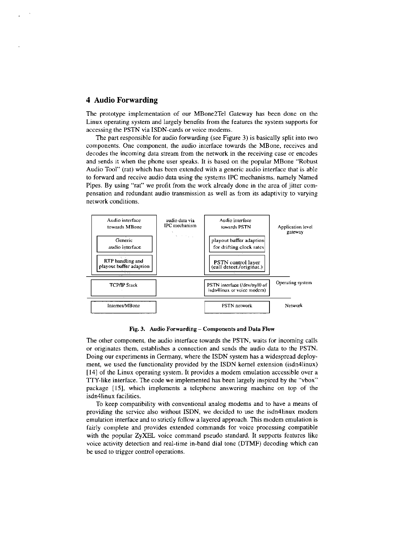### **4 Audio Forwarding**

The prototype implementation of our MBone2Tel Gateway has been done on the Linux operating system and largely benefits from the features the system supports for accessing the PSTN via ISDN-cards or voice modems.

The part responsible for audio forwarding (see Figure 3) is basically split into two components. One component, the audio interface towards the MBone, receives and decodes the incoming data stream from the network in the receiving case or encodes and sends it when the phone User speaks. It is based on the popular MBone "Robust Audio Tool" (rat) which has been extended with a generic audio interface that is able to forward and receive audio data using the Systems IPC mechanisms, namely Named Pipes. By using "rat" we profit from the work already done in the area of jitter compensation and redundant audio transmission as well as from its adaptivity to varying network conditions.



Fig. 3. Audio Forwarding - Components and Data Flow

The other component, the audio interface towards the PSTN, waits for incoming calls or originates them, establishes a connection and sends the audio data to the PSTN. Doing our experiments in Germany, where the ISDN system has a widespread deployment, we used the functionality provided by the ISDN kernel extension (isdn4linux) [14] of the Linux operating system. It provides a modem emulation accessible over a TTY-like interface. The code we implemented has been largely inspired by the "vbox" package [15], which implements a telephone answering machine on top of the isdn4linux facilities.

To keep comparibility with conventional analog modems and to have a means of providing the service also without ISDN, we decided to use the isdn4linux modem emulation interface and to strictly follow a layered approach. This modem emulation is fairly complete and provides extended commands for voice processing compatible with the popular ZyXEL voice command pseudo standard. It supports features like voice activity detection and real-time in-band dial tone (DTMF) decoding which can be used to trigger control operations.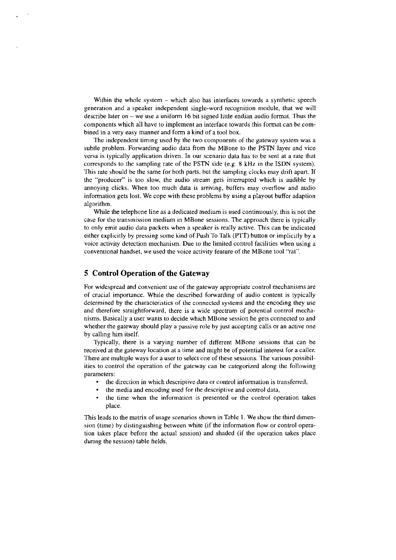Within the whole system – which also has interfaces towards a synthetic speech generation and a speaker independent single-word recognition module, that we will describe later on - we use a uniform **16** bit signed little endian audio fomat. Thus the components which all have to implement an interface towards this fomat can be combined in a very easy manner and fom a kind of a tool box.

The independent timing used by the two components of the gateway syslern was a subtle problem. Forwarding audio data from the MBone to the PSTN layer and vice versa is typically application driven. In our scenario data has to be sent at a rate that corresponds to the sampling rate of the PSTN side (e.g. 8 kHz in the ISDN system). This rate should be the same for both parts, but the sampling clocks may drift apart. If the "producer" is too slow, the audio stream gets interrupted which is audible by annoying clicks. When too much data is arriving, buffers may overflow and audio infomation gets lost. We cope with these problems by using a playout buffer adaption algorithm.

While the telephone line as a dedicated medium is used continuously, this is not the case for the transmission medium in MBone sessions. The approach there is typically to only emit audio data packets when a speaker is really active. This can **be** indicated either explicitly by pressing some kind of Push To Talk (PTT) button or implicitly by a voice activiiy detection mechanism. Due to the limited control faciliries when using a conveniional handset. we used the voice activity feature of the MBone tool "rat".

### **5 Control Operation of the Gateway**

For widespread and convenient use of the gateway appropriate control mechanisms are of crucial imponance. While the described fonvarding of audio content is typically determined by the characteristics of the connected systems and the encoding they use and therefore straightforward. there is a wide spectrum of potential control mechanisms. Basically a user wants to decide which MBone session he gets connected to and whether the gateway should play a passive role by just accepting calls or an active one by calling him itself.

Typically, there is a varying numher of different MBone sessions [hat can be received at the gateway location at a time and might be of potential interest for a caller. There are multiple ways for a user to select one of these sessions. The various possibilities to control the operation of the garcway can be categorized along the following parameters:

- the direction in which descriptive data or control infomation is transferred,  $\bullet$
- the media and encoding used for the descriptive and control data,
- $\bullet$ the time when the infomation is presented or the control operation takes place.

This leads to the matrix of usage scenarios shown in Table 1. We show the third dimension (time) by distinguishing between white (if the information How or control operation takes place before the actual session) and shaded (if the operation takes place during the session) table fields.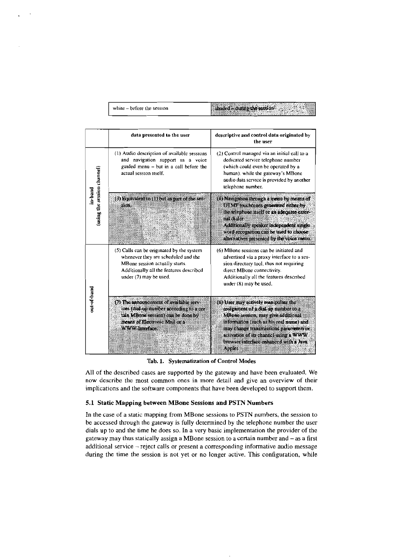| white – before the session | shaded - during the sets during the sets of the state of the state $\alpha$ |
|----------------------------|-----------------------------------------------------------------------------|
|----------------------------|-----------------------------------------------------------------------------|

|                                        | data presented to the user                                                                                                                                                                              | descriptive and control data originated by<br>the user                                                                                                                                                                                                                                                |
|----------------------------------------|---------------------------------------------------------------------------------------------------------------------------------------------------------------------------------------------------------|-------------------------------------------------------------------------------------------------------------------------------------------------------------------------------------------------------------------------------------------------------------------------------------------------------|
| (using the session channel)<br>in-band | (1) Audio description of available sessions<br>and navigation support in a voice<br>guided menu – but in a call before the<br>actual session itself.                                                    | (2) Control managed via an initial eall to a<br>dedicated service telephone number<br>(which could even be operated by a<br>human), while the gateway's MBone<br>audio data service is provided by another<br>telephone number.                                                                       |
|                                        | (3) Equivalent to (1) but as part of the ses-<br>SION.                                                                                                                                                  | (4) Navigation through a menu by means of<br>DTMF touchtones generated either by<br>the telephone itself or an adequate exter-<br>ral dialer<br>Additionally speaker independent single<br>word recognition can be used to choose<br>alternatives presented by the voice menu.                        |
| baad-baad                              | (5) Calls can be originated by the system<br>whenever they are scheduled and the<br>MBone session actually starts.<br>Additionally all the features described<br>under (7) may be used.                 | (6) MBone sessions can be initiated and<br>advertised via a proxy interface to a ses-<br>sion directory tool, thus not requiring<br>direct MBone connectivity.<br>Additionally all the features described<br>under (8) may be used.                                                                   |
|                                        | (7) The announcement of available servi<br>ices (dial-up number according to a cer-<br>tain Mhone session) can be done by<br>means of Electronic Mail or a<br>WWW-Interface<br><b>SBIBING CONSUMING</b> | (8) User may actively manipulate the<br>assignment of a dial-an number to a<br>MBone session, may give additional<br>information (such as his real name) and<br>may change transmissions parameters or<br>activation of its channel using a WWW.<br>browser interface enhanced with a Java<br>Applet. |

Tab. 1. Systematization of Control Modes

All of the described cases are supported by the gateway and have been evaluated. We now describe the most common ones in more detail and give an overview of their implications and the software components that have been developed to support them.

#### 5.1 Static Mapping between MBone Sessions and PSTN Numbers

In the case of a static mapping from MBone sessions to PSTN numbers, the session to be accessed through the gateway is fully determined by the telephone number the user dials up to and the time he does so. In a very basic implementation the provider of the gateway may thus statically assign a MBone session to a certain number and - as a first additional service - reject calls or present a corresponding informative audio message during the time the session is not yet or no longer active. This configuration, while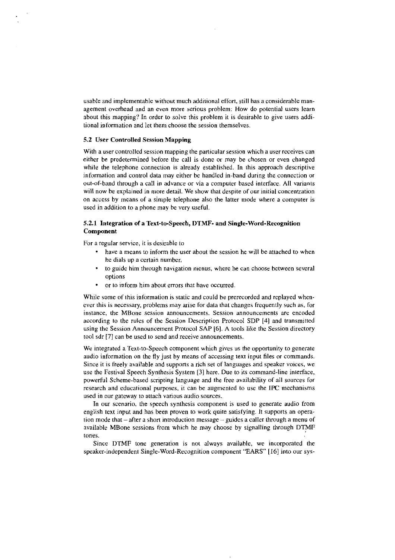usable and implementable without much additional effort, still has a considerable management overhead and an even more serious prohlem: How do potential users learn about this mapping? In order to solve this problem it is desirable to give users additional information and let them choose the session themselves.

#### **5.2 User Controlled Session Mapping**

With a user controlled session mapping the particular session which a user receives can either be predetermined before the call is done or may be chosen or even changed while the telephone connection is already established. In this approach descriptive information and control data may either be handled in-band during the connection or out-of-band through a call in advance or via a computer based interface. All variants will now be explained in more detail. We show that despite of our initial concentration on access by means of a simple telephone also the latter mode where a computer is used in addition to a phone may be very useful.

#### **5.2.1 Integration of a Text-to-Speech, DTMF- and Single-Word-Recognition Component**

For a regular service, it is desirable to

- have a means to inform the user about the session he will be attached to when  $\bullet$ he dials up a certain number,
- to guide him through navigation menus, where he can choose between several options
- or to inform him about errors that have occurred.

While some of this information is static and could be prerecorded and replayed whenever this is necessary, prohlems may arise for data that changes frequently such as, for instance, the MBone session announcements. Session announcements arc encoded according to the rules of the Session Description Protocol SDP *[4]* and transmitted using the Session Announcement Protocol SAP [6]. A tools like the Session directory tool sdr [7] can be used lo send and receive announcements.

We integrated a Text-to-Speech component which gives us the opportunity to generate audio information on the fly just by means of accessing text input files or commands. Since it is freely available and supports a rich set of languages and speaker voices, we use the Festival Speech Synthesis System [3] here. Due to its command-line interface, powerful Scheme-based scripting language and the free availability of all sources for research and educational purposes. it can be augmented to use the **IPC** mechanisms used in our gateway to attach various audio sources.

In our scenario, the speech synthesis component is used to generate audio from english text input and has been proven to work quite satisiying. It supports an operation mode that  $-$  after a short introduction message  $-$  guides a caller through a menu of nvailable MBone sessions from which he may choose by signalling through DTMF Iones.

Since DTMF tonc generation is not always available. we incorporated the speaker-independent Single-Word-Recognition component "EARS" [16] into our sys-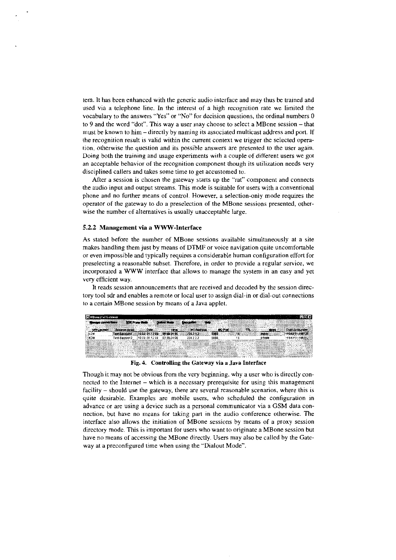tem. It has been enhanced with the generic audio interface and may thus be trained and used via a telephone line. In the interest of a high recognition rate we limited the vocabulary to the answers "Yes" or "No" for decision questions, the ordinal numbers 0 to 9 and the word "dot". This way a user may choose to select a MBone session – that must be known to him -directly by naming its associated multicast address and port. If the recognition result is valid within the current context we trigger the selected operation, otherwise the question and its possible answers are presented to the user again. Doing both the training and usage expenments with a couple of different users we gor an acceptable behavior of the recognition component though its utilization needs very disciplined callers and takes some time to get accustomed to.

After a session is chosen the gateway starts up the "rat" component and connects the audio input and output streams. This mode is suitable for users with a conventional phone and no further means of control. However, a selection-only mode requires the Operator of the gateway to do a preselection of the MBone sessions presented, otherwise the number of alternatives is usually unacceptable large.

#### 5.2.2 Management via a WWW-Interface

As stated before the number of MBone sessions available simultaneously at a site makes handling them just by means of DTMF or voice navigation quite uncomfonable or even impossible and typically requires a considerable human configuration effort for preseleciing a reasonable subset. Therefore, in order 10 provide a regular sewice. we incorporated a WWW interface that allows to manage the system in an easy and yet very efficient way.

It reads session announcements that are received and decoded by the session directory tool sdr and enables a remote or local User to assign dial-in or dial-out connections to a certain MBone session by means of a Java applet.



**Fig.** 4. Controlling the Gateway via **a** Java Interface

Though it may not be obvious from the very beginning, why a user who is directly connected to the Internet  $-$  which is a necessary prerequisite for using this management facility – should use the gateway, there are several reasonable scenarios, where this is quite desirable. Examples are mobile users. who scheduled the configuration in advance or are using a device such as a personal communicaior via a GSM data connection, but have no means for taking pan in the audio conference otherwise. The interface also allows the initiation of MBone sessions by means of a proxy session directory mode. This is important for users who Want to originale a MBone session but have no means of accessing the MBone directly. Users may also be called by the Gateway at a preconfigured time when using the "Dialout Mode".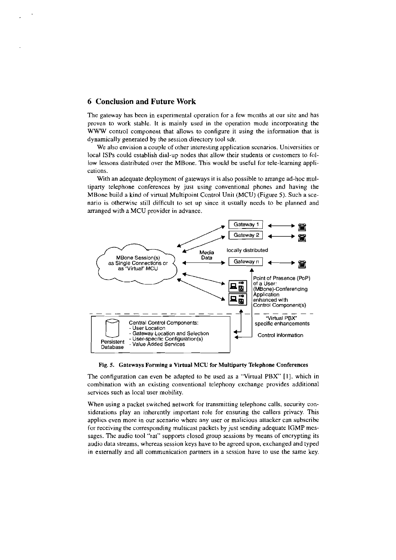### **6 Conclusion and Future Work**

The gateway has been in experimental operation for a few months at our site and has proven to work stable. It is mainly used in the operation mode incorporating the WWW control component that allows to configure it using the information that is dynamically generated by the session directory tool sdr.

We also envision a couple of other interesting application scenarios. Universities or local ISPs could establish dial-up nodes that allow their students or customers to follow lessons distributed over the MBone. This would be useful for tele-learning applicarions.

With an adequate deployment of gateways ir is also possihle to arrange ad-hoc multiparty telephone conferences hy just using convenrional phones and having the MBone build a kind of virtual Multipoint Control Unit (MCU) (Figure 5). Such a scenario is otherwise still difficult to set up since it usually needs to be planned and arranged with a MCU provider in advance.



Fig. 5. Gateways Forming a Virtual MCU for Multiparty Telephone Conferences

The configuration can even be adapted to be used as a "Virtual PBX"  $[1]$ , which in combination with an existing conventional telephony exchange provides additional services such as local user mobility.

When using a packet switched network for transmitting telephone calls, security considerations play an inherently important role for ensuring the callers privacy. This applies even more in our scenario where any user or malicious attacker can subscribe for receiving the corresponding mulricast packeis by just sending adequate IGMP messages. The audio tool "rat" supports closed group sessions by means of encrypting its audio data streams, whereas session keys have tobe agreed upon. exchanged and typed in externally and all communication parrners in a session have to use the same key.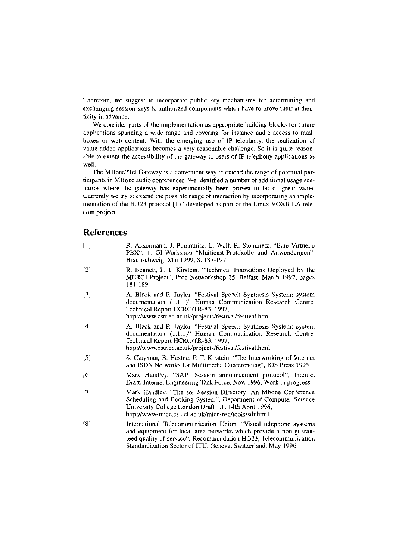Therefore, we suggest to incorporate public key mechanisms for determining and exchanging session keys to authorized components which have to prove their authenticity in advance.

We consider parts of the implementation **as** appropriate building blocks for future applications spanning a wide range and covenng for instance audio access to mailboxes or web content. With the emerging use of IP telephony, the realization of value-added applications becomes a very reasonable challenge. So it is quite reasonable to extent the accessibility of the gateway to users of IP telephony applications as well.

The MBoneZTel Gateway is a convenient way to extend the range of potential participants in MBone audio conferences. We identified a number of additional usage scenarios where the gateway has experimentally been proven to be of great value. Currently we try to extend the possible range of interaction by incorporating an implementation of the H.323 protocol [17] developed as part of the Linux VOXILLA telecom project.

# **References**

| $[1] % \centering \includegraphics[width=0.9\columnwidth]{figures/fig_10.pdf} \caption{The graph $\mathcal{N}_1$ is a function of the number of~\textit{N}_1$ (left) and the number of~\textit{N}_2$ (right) are shown in \cite{N}_1$ (right).} \label{fig:1}$                                                                                                                                                                                                                                                                                        | R. Ackermann, J. Pommnitz, L. Wolf, R. Steinmetz. "Eine Virtuelle<br>PBX", 1. GI-Workshop "Multicast-Protokolle und Anwendungen",<br>Braunschweig, Mai 1999, S. 187-197                                                                                                    |
|-------------------------------------------------------------------------------------------------------------------------------------------------------------------------------------------------------------------------------------------------------------------------------------------------------------------------------------------------------------------------------------------------------------------------------------------------------------------------------------------------------------------------------------------------------|----------------------------------------------------------------------------------------------------------------------------------------------------------------------------------------------------------------------------------------------------------------------------|
| $[2]$                                                                                                                                                                                                                                                                                                                                                                                                                                                                                                                                                 | R. Bennett, P. T. Kirstein. "Technical Innovations Deployed by the<br>MERCI Project", Proc Networkshop 25, Belfast, March 1997, pages<br>181-189                                                                                                                           |
| $[3]$                                                                                                                                                                                                                                                                                                                                                                                                                                                                                                                                                 | A. Black and P. Taylor. "Festival Speech Synthesis System: system<br>documentation (1.1.1)" Human Communication Research Centre.<br>Technical Report HCRC/TR-83, 1997,<br>http://www.cstr.ed.ac.uk/projects/festival/festival.html                                         |
| [4]                                                                                                                                                                                                                                                                                                                                                                                                                                                                                                                                                   | A. Black and P. Taylor. "Festival Speech Synthesis System: system<br>documentation (1.1.1)" Human Communication Research Centre,<br>Technical Report HCRC/TR-83, 1997,<br>http://www.cstr.ed.ac.uk/projects/festival/festival.html                                         |
| [5]                                                                                                                                                                                                                                                                                                                                                                                                                                                                                                                                                   | S. Clayman, B. Hestne, P. T. Kirstein. "The Interworking of Internet<br>and ISDN Networks for Multimedia Conferencing", IOS Press 1995                                                                                                                                     |
| [6]                                                                                                                                                                                                                                                                                                                                                                                                                                                                                                                                                   | Mark Handley. "SAP: Session announcement protocol", Internet<br>Draft, Internet Engineering Task Force, Nov. 1996. Work in progress                                                                                                                                        |
| $[7] \centering% \includegraphics[width=1\textwidth]{images/TransY.pdf} \caption{The first two different values of $y$ and $z$ for the $y$ and $z$ for the $y$ and $z$ for the $y$ and $z$ for the $y$ and $z$ for the $y$ and $z$ for the $y$ and $z$ for the $y$ and $z$ for the $y$ and $z$ for the $y$ and $z$ for the $y$ and $z$ for the $y$ and $y$ for the $y$ and $z$ for the $y$ and $y$ for the $y$ and $z$ for the $y$ and $y$ for the $y$ and $y$ for the $y$ and $y$ for the $y$ for the $y$ and $y$ for the $y$ for the $y$ for the $$ | Mark Handley. "The sdr Session Directory: An Mbone Conference<br>Scheduling and Booking System", Department of Computer Science<br>University College London Draft L.I. 14th April 1996,<br>http://www-mice.cs.ucl.ac.uk/mice-nsc/tools/sdr.html                           |
| [8]                                                                                                                                                                                                                                                                                                                                                                                                                                                                                                                                                   | International Telecommunication Union. "Visual telephone systems<br>and equipment for local area networks which provide a non-guaran-<br>teed quality of service", Recommendation H.323, Telecommunication<br>Standardization Sector of ITU, Geneva, Switzerland, May 1996 |